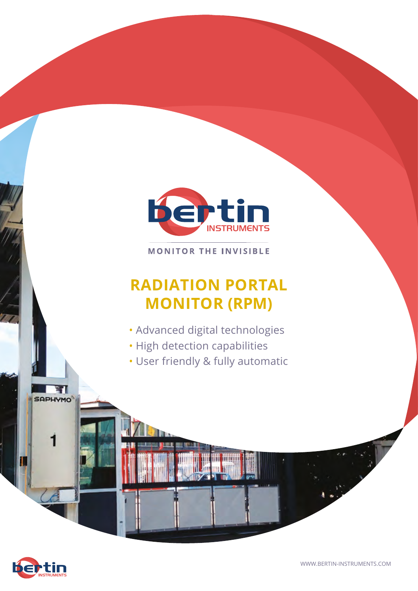

**MONITOR THE INVISIBLE** 

## **RADIATION PORTAL MONITOR (RPM)**

- Advanced digital technologies
- High detection capabilities
- User friendly & fully automatic



1.

ना **SAPHYMO**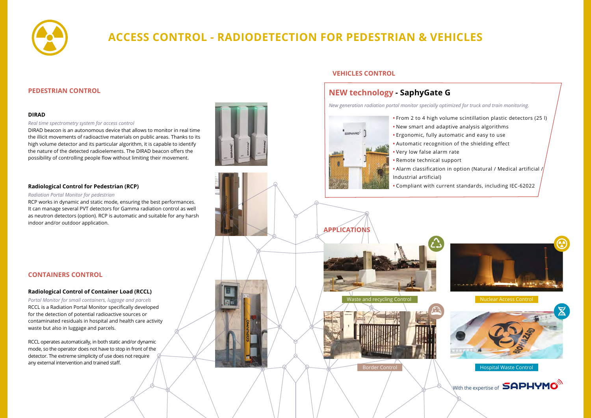

# **ACCESS CONTROL - RADIODETECTION FOR PEDESTRIAN & VEHICLES**

### **DIRAD**

#### *Real time spectrometry system for access control*

DIRAD beacon is an autonomous device that allows to monitor in real time the illicit movements of radioactive materials on public areas. Thanks to its high volume detector and its particular algorithm, it is capable to identify the nature of the detected radioelements. The DIRAD beacon offers the possibility of controlling people flow without limiting their movement.

## **PEDESTRIAN CONTROL**

## **CONTAINERS CONTROL**

### **Radiological Control for Pedestrian (RCP)**

#### *Radiation Portal Monitor for pedestrian*

RCP works in dynamic and static mode, ensuring the best performances. It can manage several PVT detectors for Gamma radiation control as well as neutron detectors (option). RCP is automatic and suitable for any harsh indoor and/or outdoor application.



#### **Radiological Control of Container Load (RCCL)**

*Portal Monitor for small containers, luggage and parcels* RCCL is a Radiation Portal Monitor specifically developed for the detection of potential radioactive sources or contaminated residuals in hospital and health care activity waste but also in luggage and parcels.

RCCL operates automatically, in both static and/or dynamic mode, so the operator does not have to stop in front of the detector. The extreme simplicity of use does not require any external intervention and trained staff.

### **VEHICLES CONTROL**



- 
- 
- 
- **•** Very low false alarm rate
- **•** Remote technical support
- 
- Industrial artificial)
- 



## **NEW technology - SaphyGate G**

*New generation radiation portal monitor specially optimized for truck and train monitoring.*